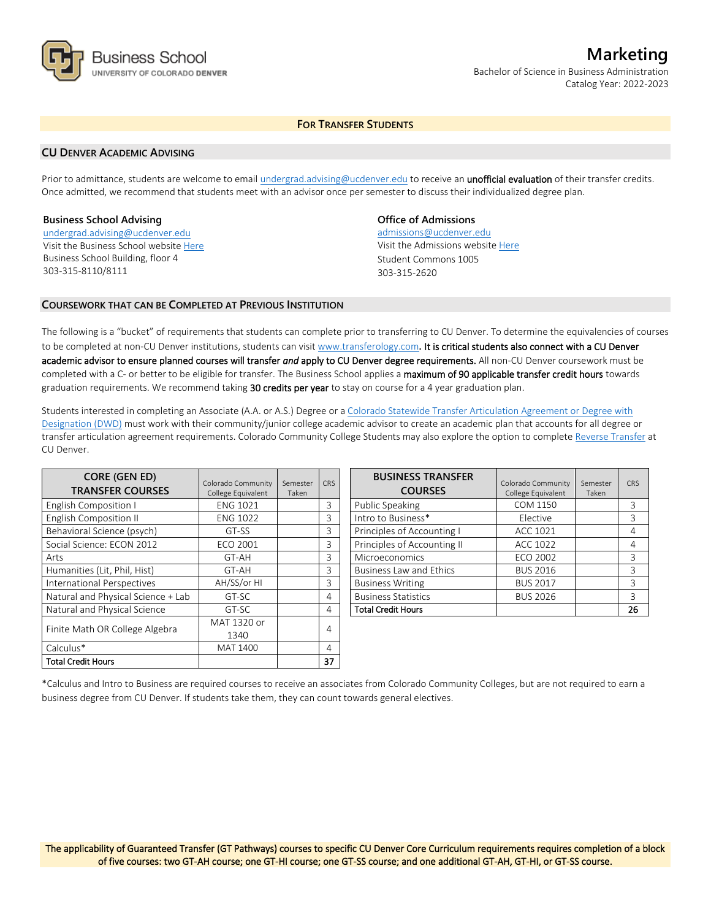

# **Marketing** Bachelor of Science in Business Administration Catalog Year: 2022-2023

# **FOR TRANSFER STUDENTS**

#### **CU DENVER ACADEMIC ADVISING**

Prior to admittance, students are welcome to email [undergrad.advising@ucdenver.edu](mailto:undergrad.advising@ucdenver.edu) to receive an *unofficial evaluation* of their transfer credits. Once admitted, we recommend that students meet with an advisor once per semester to discuss their individualized degree plan.

#### **Business School Advising**

[undergrad.advising@ucdenver.edu](mailto:undergrad.advising@ucdenver.edu) Visit the Business School websit[e Here](http://www.ucdenver.edu/academics/colleges/business/Pages/business-school.aspx)  Business School Building, floor 4 303-315-8110/8111

## **Office of Admissions**

admissions@ucdenver.edu Visit the Admissions website [Here](http://www.ucdenver.edu/admissions/) Student Commons 1005 303-315-2620

## **COURSEWORK THAT CAN BE COMPLETED AT PREVIOUS INSTITUTION**

The following is a "bucket" of requirements that students can complete prior to transferring to CU Denver. To determine the equivalencies of courses to be completed at non-CU Denver institutions, students can visit [www.transferology.com](http://www.transferology.com/)**.** It is critical students also connect with a CU Denver academic advisor to ensure planned courses will transfer *and* apply to CU Denver degree requirements. All non-CU Denver coursework must be completed with a C- or better to be eligible for transfer. The Business School applies a maximum of 90 applicable transfer credit hours towards graduation requirements. We recommend taking 30 credits per year to stay on course for a 4 year graduation plan.

Students interested in completing an Associate (A.A. or A.S.) Degree or a [Colorado Statewide Transfer Articulation Agreement or Degree with](https://highered.colorado.gov/Academics/Transfers/TransferDegrees.html)  [Designation \(DWD\)](https://highered.colorado.gov/Academics/Transfers/TransferDegrees.html) must work with their community/junior college academic advisor to create an academic plan that accounts for all degree or transfer articulation agreement requirements. Colorado Community College Students may also explore the option to complet[e Reverse Transfer](https://degreewithinreach.wordpress.com/) at CU Denver.

| <b>CORE (GEN ED)</b><br><b>TRANSFER COURSES</b> | Colorado Community<br>College Equivalent | Semester<br>Taken | <b>CRS</b> |
|-------------------------------------------------|------------------------------------------|-------------------|------------|
| <b>English Composition I</b>                    | <b>ENG 1021</b>                          |                   | 3          |
| <b>English Composition II</b>                   | <b>ENG 1022</b>                          |                   | 3          |
| Behavioral Science (psych)                      | GT-SS                                    |                   | 3          |
| Social Science: ECON 2012                       | <b>ECO 2001</b>                          |                   | 3          |
| Arts                                            | GT-AH                                    |                   | 3          |
| Humanities (Lit, Phil, Hist)                    | GT-AH                                    |                   | 3          |
| International Perspectives                      | AH/SS/or HI                              |                   | 3          |
| Natural and Physical Science + Lab              | GT-SC                                    |                   | 4          |
| Natural and Physical Science                    | GT-SC                                    |                   | 4          |
| Finite Math OR College Algebra                  | MAT 1320 or                              |                   |            |
|                                                 | 1340                                     |                   | 4          |
| Calculus*                                       | MAT 1400                                 |                   | 4          |
| Total Credit Hours                              |                                          |                   | 37         |

| <b>BUSINESS TRANSFER</b><br><b>COURSES</b> | Colorado Community<br>College Equivalent | Semester<br>Taken | CRS |
|--------------------------------------------|------------------------------------------|-------------------|-----|
| Public Speaking                            | COM 1150                                 |                   | 3   |
| Intro to Business*                         | Elective                                 |                   | 3   |
| Principles of Accounting I                 | ACC 1021                                 |                   | 4   |
| Principles of Accounting II                | ACC 1022                                 |                   | 4   |
| Microeconomics                             | ECO 2002                                 |                   | 3   |
| <b>Business Law and Ethics</b>             | <b>BUS 2016</b>                          |                   | 3   |
| <b>Business Writing</b>                    | <b>BUS 2017</b>                          |                   | 3   |
| <b>Business Statistics</b>                 | <b>BUS 2026</b>                          |                   | 3   |
| <b>Total Credit Hours</b>                  |                                          |                   | 26  |

\*Calculus and Intro to Business are required courses to receive an associates from Colorado Community Colleges, but are not required to earn a business degree from CU Denver. If students take them, they can count towards general electives.